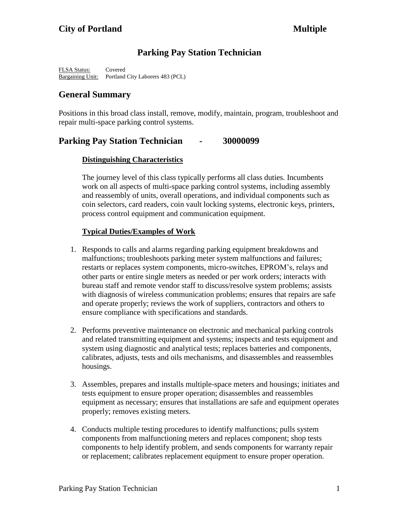# **Parking Pay Station Technician**

FLSA Status: Covered Bargaining Unit: Portland City Laborers 483 (PCL)

# **General Summary**

Positions in this broad class install, remove, modify, maintain, program, troubleshoot and repair multi-space parking control systems.

# **Parking Pay Station Technician - 30000099**

# **Distinguishing Characteristics**

The journey level of this class typically performs all class duties. Incumbents work on all aspects of multi-space parking control systems, including assembly and reassembly of units, overall operations, and individual components such as coin selectors, card readers, coin vault locking systems, electronic keys, printers, process control equipment and communication equipment.

# **Typical Duties/Examples of Work**

- 1. Responds to calls and alarms regarding parking equipment breakdowns and malfunctions; troubleshoots parking meter system malfunctions and failures; restarts or replaces system components, micro-switches, EPROM's, relays and other parts or entire single meters as needed or per work orders; interacts with bureau staff and remote vendor staff to discuss/resolve system problems; assists with diagnosis of wireless communication problems; ensures that repairs are safe and operate properly; reviews the work of suppliers, contractors and others to ensure compliance with specifications and standards.
- 2. Performs preventive maintenance on electronic and mechanical parking controls and related transmitting equipment and systems; inspects and tests equipment and system using diagnostic and analytical tests; replaces batteries and components, calibrates, adjusts, tests and oils mechanisms, and disassembles and reassembles housings.
- 3. Assembles, prepares and installs multiple-space meters and housings; initiates and tests equipment to ensure proper operation; disassembles and reassembles equipment as necessary; ensures that installations are safe and equipment operates properly; removes existing meters.
- 4. Conducts multiple testing procedures to identify malfunctions; pulls system components from malfunctioning meters and replaces component; shop tests components to help identify problem, and sends components for warranty repair or replacement; calibrates replacement equipment to ensure proper operation.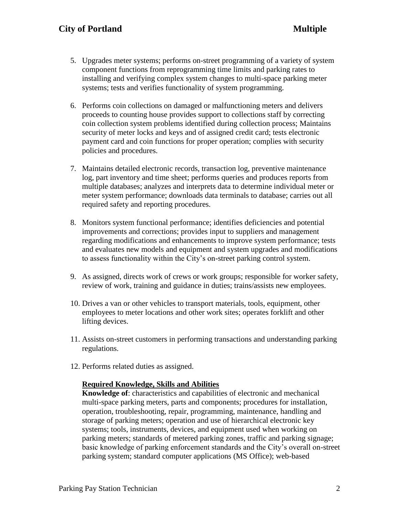- 5. Upgrades meter systems; performs on-street programming of a variety of system component functions from reprogramming time limits and parking rates to installing and verifying complex system changes to multi-space parking meter systems; tests and verifies functionality of system programming.
- 6. Performs coin collections on damaged or malfunctioning meters and delivers proceeds to counting house provides support to collections staff by correcting coin collection system problems identified during collection process; Maintains security of meter locks and keys and of assigned credit card; tests electronic payment card and coin functions for proper operation; complies with security policies and procedures.
- 7. Maintains detailed electronic records, transaction log, preventive maintenance log, part inventory and time sheet; performs queries and produces reports from multiple databases; analyzes and interprets data to determine individual meter or meter system performance; downloads data terminals to database; carries out all required safety and reporting procedures.
- 8. Monitors system functional performance; identifies deficiencies and potential improvements and corrections; provides input to suppliers and management regarding modifications and enhancements to improve system performance; tests and evaluates new models and equipment and system upgrades and modifications to assess functionality within the City's on-street parking control system.
- 9. As assigned, directs work of crews or work groups; responsible for worker safety, review of work, training and guidance in duties; trains/assists new employees.
- 10. Drives a van or other vehicles to transport materials, tools, equipment, other employees to meter locations and other work sites; operates forklift and other lifting devices.
- 11. Assists on-street customers in performing transactions and understanding parking regulations.
- 12. Performs related duties as assigned.

## **Required Knowledge, Skills and Abilities**

**Knowledge of**: characteristics and capabilities of electronic and mechanical multi-space parking meters, parts and components; procedures for installation, operation, troubleshooting, repair, programming, maintenance, handling and storage of parking meters; operation and use of hierarchical electronic key systems; tools, instruments, devices, and equipment used when working on parking meters; standards of metered parking zones, traffic and parking signage; basic knowledge of parking enforcement standards and the City's overall on-street parking system; standard computer applications (MS Office); web-based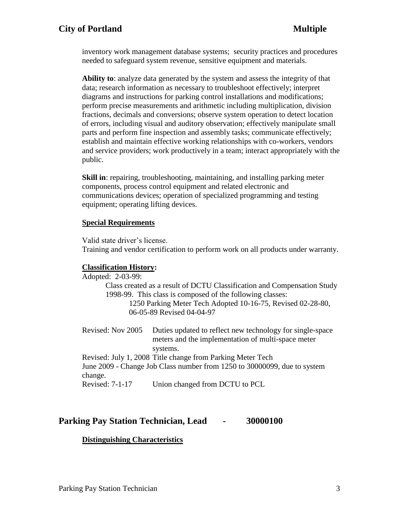# **City of Portland Multiple**

inventory work management database systems; security practices and procedures needed to safeguard system revenue, sensitive equipment and materials.

**Ability to**: analyze data generated by the system and assess the integrity of that data; research information as necessary to troubleshoot effectively; interpret diagrams and instructions for parking control installations and modifications; perform precise measurements and arithmetic including multiplication, division fractions, decimals and conversions; observe system operation to detect location of errors, including visual and auditory observation; effectively manipulate small parts and perform fine inspection and assembly tasks; communicate effectively; establish and maintain effective working relationships with co-workers, vendors and service providers; work productively in a team; interact appropriately with the public.

**Skill in**: repairing, troubleshooting, maintaining, and installing parking meter components, process control equipment and related electronic and communications devices; operation of specialized programming and testing equipment; operating lifting devices.

#### **Special Requirements**

Valid state driver's license.

Training and vendor certification to perform work on all products under warranty.

### **Classification History:**

Adopted: 2-03-99: Class created as a result of DCTU Classification and Compensation Study 1998-99. This class is composed of the following classes: 1250 Parking Meter Tech Adopted 10-16-75, Revised 02-28-80, 06-05-89 Revised 04-04-97

Revised: Nov 2005 Duties updated to reflect new technology for single-space meters and the implementation of multi-space meter systems.

Revised: July 1, 2008 Title change from Parking Meter Tech June 2009 - Change Job Class number from 1250 to 30000099, due to system change.

Revised: 7-1-17 Union changed from DCTU to PCL

## **Parking Pay Station Technician, Lead - 30000100**

### **Distinguishing Characteristics**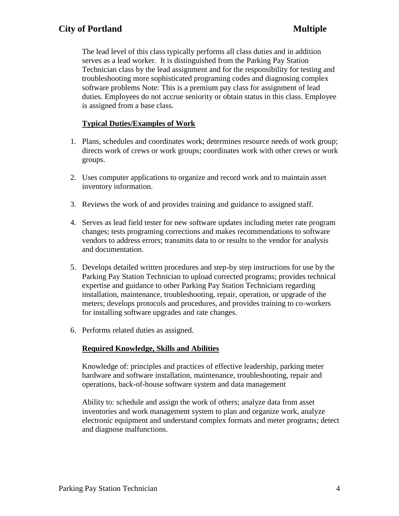The lead level of this class typically performs all class duties and in addition serves as a lead worker. It is distinguished from the Parking Pay Station Technician class by the lead assignment and for the responsibility for testing and troubleshooting more sophisticated programing codes and diagnosing complex software problems Note: This is a premium pay class for assignment of lead duties. Employees do not accrue seniority or obtain status in this class. Employee is assigned from a base class.

## **Typical Duties/Examples of Work**

- 1. Plans, schedules and coordinates work; determines resource needs of work group; directs work of crews or work groups; coordinates work with other crews or work groups.
- 2. Uses computer applications to organize and record work and to maintain asset inventory information.
- 3. Reviews the work of and provides training and guidance to assigned staff.
- 4. Serves as lead field tester for new software updates including meter rate program changes; tests programing corrections and makes recommendations to software vendors to address errors; transmits data to or results to the vendor for analysis and documentation.
- 5. Develops detailed written procedures and step-by step instructions for use by the Parking Pay Station Technician to upload corrected programs; provides technical expertise and guidance to other Parking Pay Station Technicians regarding installation, maintenance, troubleshooting, repair, operation, or upgrade of the meters; develops protocols and procedures, and provides training to co-workers for installing software upgrades and rate changes.
- 6. Performs related duties as assigned.

# **Required Knowledge, Skills and Abilities**

Knowledge of: principles and practices of effective leadership, parking meter hardware and software installation, maintenance, troubleshooting, repair and operations, back-of-house software system and data management

Ability to: schedule and assign the work of others; analyze data from asset inventories and work management system to plan and organize work, analyze electronic equipment and understand complex formats and meter programs; detect and diagnose malfunctions.